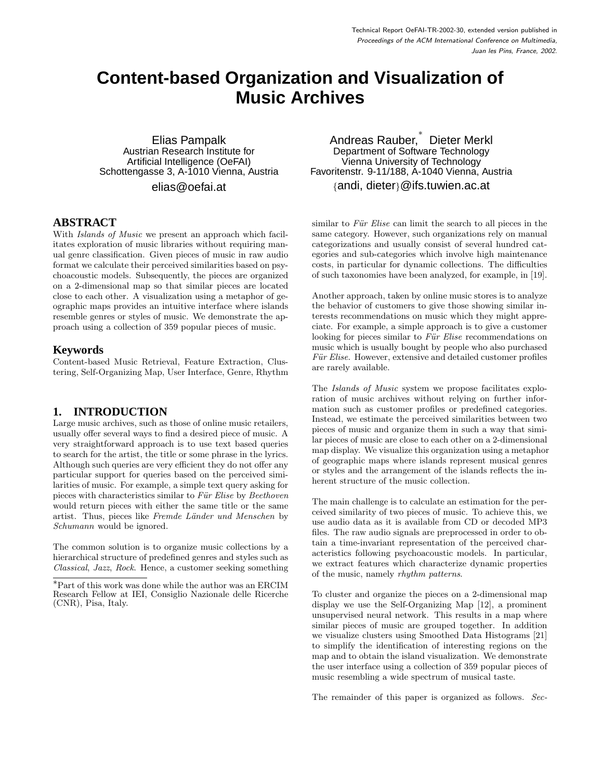# **Content-based Organization and Visualization of Music Archives**

Elias Pampalk Austrian Research Institute for Artificial Intelligence (OeFAI) Schottengasse 3, A-1010 Vienna, Austria elias@oefai.at

# **ABSTRACT**

With Islands of Music we present an approach which facilitates exploration of music libraries without requiring manual genre classification. Given pieces of music in raw audio format we calculate their perceived similarities based on psychoacoustic models. Subsequently, the pieces are organized on a 2-dimensional map so that similar pieces are located close to each other. A visualization using a metaphor of geographic maps provides an intuitive interface where islands resemble genres or styles of music. We demonstrate the approach using a collection of 359 popular pieces of music.

# **Keywords**

Content-based Music Retrieval, Feature Extraction, Clustering, Self-Organizing Map, User Interface, Genre, Rhythm

## **1. INTRODUCTION**

Large music archives, such as those of online music retailers, usually offer several ways to find a desired piece of music. A very straightforward approach is to use text based queries to search for the artist, the title or some phrase in the lyrics. Although such queries are very efficient they do not offer any particular support for queries based on the perceived similarities of music. For example, a simple text query asking for pieces with characteristics similar to Für Elise by Beethoven would return pieces with either the same title or the same artist. Thus, pieces like Fremde Länder und Menschen by Schumann would be ignored.

The common solution is to organize music collections by a hierarchical structure of predefined genres and styles such as Classical, Jazz, Rock. Hence, a customer seeking something

Andreas Rauber, ∗ Dieter Merkl Department of Software Technology Vienna University of Technology Favoritenstr. 9-11/188, A-1040 Vienna, Austria {andi, dieter}@ifs.tuwien.ac.at

similar to  $F\ddot{u}r$  Elise can limit the search to all pieces in the same category. However, such organizations rely on manual categorizations and usually consist of several hundred categories and sub-categories which involve high maintenance costs, in particular for dynamic collections. The difficulties of such taxonomies have been analyzed, for example, in [19].

Another approach, taken by online music stores is to analyze the behavior of customers to give those showing similar interests recommendations on music which they might appreciate. For example, a simple approach is to give a customer looking for pieces similar to Für Elise recommendations on music which is usually bought by people who also purchased  $Für Elise.$  However, extensive and detailed customer profiles are rarely available.

The Islands of Music system we propose facilitates exploration of music archives without relying on further information such as customer profiles or predefined categories. Instead, we estimate the perceived similarities between two pieces of music and organize them in such a way that similar pieces of music are close to each other on a 2-dimensional map display. We visualize this organization using a metaphor of geographic maps where islands represent musical genres or styles and the arrangement of the islands reflects the inherent structure of the music collection.

The main challenge is to calculate an estimation for the perceived similarity of two pieces of music. To achieve this, we use audio data as it is available from CD or decoded MP3 files. The raw audio signals are preprocessed in order to obtain a time-invariant representation of the perceived characteristics following psychoacoustic models. In particular, we extract features which characterize dynamic properties of the music, namely rhythm patterns.

To cluster and organize the pieces on a 2-dimensional map display we use the Self-Organizing Map [12], a prominent unsupervised neural network. This results in a map where similar pieces of music are grouped together. In addition we visualize clusters using Smoothed Data Histograms [21] to simplify the identification of interesting regions on the map and to obtain the island visualization. We demonstrate the user interface using a collection of 359 popular pieces of music resembling a wide spectrum of musical taste.

The remainder of this paper is organized as follows. Sec-

<sup>∗</sup>Part of this work was done while the author was an ERCIM Research Fellow at IEI, Consiglio Nazionale delle Ricerche (CNR), Pisa, Italy.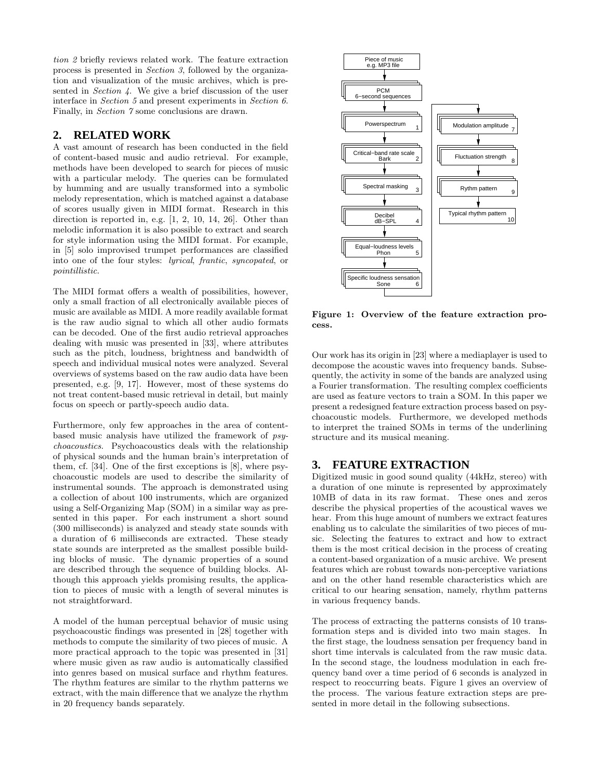tion 2 briefly reviews related work. The feature extraction process is presented in Section 3, followed by the organization and visualization of the music archives, which is presented in Section 4. We give a brief discussion of the user interface in Section 5 and present experiments in Section 6. Finally, in Section 7 some conclusions are drawn.

# **2. RELATED WORK**

A vast amount of research has been conducted in the field of content-based music and audio retrieval. For example, methods have been developed to search for pieces of music with a particular melody. The queries can be formulated by humming and are usually transformed into a symbolic melody representation, which is matched against a database of scores usually given in MIDI format. Research in this direction is reported in, e.g. [1, 2, 10, 14, 26]. Other than melodic information it is also possible to extract and search for style information using the MIDI format. For example, in [5] solo improvised trumpet performances are classified into one of the four styles: lyrical, frantic, syncopated, or pointillistic.

The MIDI format offers a wealth of possibilities, however, only a small fraction of all electronically available pieces of music are available as MIDI. A more readily available format is the raw audio signal to which all other audio formats can be decoded. One of the first audio retrieval approaches dealing with music was presented in [33], where attributes such as the pitch, loudness, brightness and bandwidth of speech and individual musical notes were analyzed. Several overviews of systems based on the raw audio data have been presented, e.g. [9, 17]. However, most of these systems do not treat content-based music retrieval in detail, but mainly focus on speech or partly-speech audio data.

Furthermore, only few approaches in the area of contentbased music analysis have utilized the framework of psychoacoustics. Psychoacoustics deals with the relationship of physical sounds and the human brain's interpretation of them, cf. [34]. One of the first exceptions is [8], where psychoacoustic models are used to describe the similarity of instrumental sounds. The approach is demonstrated using a collection of about 100 instruments, which are organized using a Self-Organizing Map (SOM) in a similar way as presented in this paper. For each instrument a short sound (300 milliseconds) is analyzed and steady state sounds with a duration of 6 milliseconds are extracted. These steady state sounds are interpreted as the smallest possible building blocks of music. The dynamic properties of a sound are described through the sequence of building blocks. Although this approach yields promising results, the application to pieces of music with a length of several minutes is not straightforward.

A model of the human perceptual behavior of music using psychoacoustic findings was presented in [28] together with methods to compute the similarity of two pieces of music. A more practical approach to the topic was presented in [31] where music given as raw audio is automatically classified into genres based on musical surface and rhythm features. The rhythm features are similar to the rhythm patterns we extract, with the main difference that we analyze the rhythm in 20 frequency bands separately.



Figure 1: Overview of the feature extraction process.

Our work has its origin in [23] where a mediaplayer is used to decompose the acoustic waves into frequency bands. Subsequently, the activity in some of the bands are analyzed using a Fourier transformation. The resulting complex coefficients are used as feature vectors to train a SOM. In this paper we present a redesigned feature extraction process based on psychoacoustic models. Furthermore, we developed methods to interpret the trained SOMs in terms of the underlining structure and its musical meaning.

## **3. FEATURE EXTRACTION**

Digitized music in good sound quality (44kHz, stereo) with a duration of one minute is represented by approximately 10MB of data in its raw format. These ones and zeros describe the physical properties of the acoustical waves we hear. From this huge amount of numbers we extract features enabling us to calculate the similarities of two pieces of music. Selecting the features to extract and how to extract them is the most critical decision in the process of creating a content-based organization of a music archive. We present features which are robust towards non-perceptive variations and on the other hand resemble characteristics which are critical to our hearing sensation, namely, rhythm patterns in various frequency bands.

The process of extracting the patterns consists of 10 transformation steps and is divided into two main stages. In the first stage, the loudness sensation per frequency band in short time intervals is calculated from the raw music data. In the second stage, the loudness modulation in each frequency band over a time period of 6 seconds is analyzed in respect to reoccurring beats. Figure 1 gives an overview of the process. The various feature extraction steps are presented in more detail in the following subsections.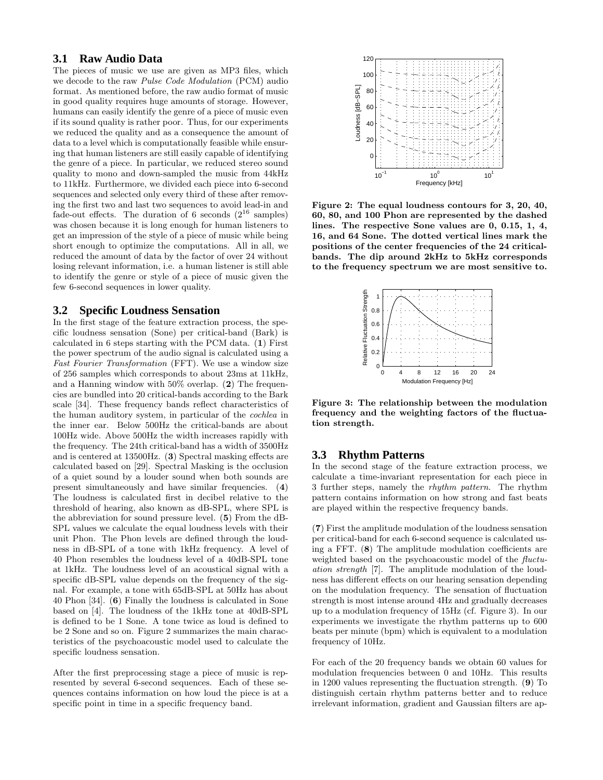## **3.1 Raw Audio Data**

The pieces of music we use are given as MP3 files, which we decode to the raw Pulse Code Modulation (PCM) audio format. As mentioned before, the raw audio format of music in good quality requires huge amounts of storage. However, humans can easily identify the genre of a piece of music even if its sound quality is rather poor. Thus, for our experiments we reduced the quality and as a consequence the amount of data to a level which is computationally feasible while ensuring that human listeners are still easily capable of identifying the genre of a piece. In particular, we reduced stereo sound quality to mono and down-sampled the music from 44kHz to 11kHz. Furthermore, we divided each piece into 6-second sequences and selected only every third of these after removing the first two and last two sequences to avoid lead-in and fade-out effects. The duration of 6 seconds  $(2^{16}$  samples) was chosen because it is long enough for human listeners to get an impression of the style of a piece of music while being short enough to optimize the computations. All in all, we reduced the amount of data by the factor of over 24 without losing relevant information, i.e. a human listener is still able to identify the genre or style of a piece of music given the few 6-second sequences in lower quality.

#### **3.2 Specific Loudness Sensation**

In the first stage of the feature extraction process, the specific loudness sensation (Sone) per critical-band (Bark) is calculated in 6 steps starting with the PCM data. (1) First the power spectrum of the audio signal is calculated using a Fast Fourier Transformation (FFT). We use a window size of 256 samples which corresponds to about 23ms at 11kHz, and a Hanning window with  $50\%$  overlap. (2) The frequencies are bundled into 20 critical-bands according to the Bark scale [34]. These frequency bands reflect characteristics of the human auditory system, in particular of the cochlea in the inner ear. Below 500Hz the critical-bands are about 100Hz wide. Above 500Hz the width increases rapidly with the frequency. The 24th critical-band has a width of 3500Hz and is centered at 13500Hz. (3) Spectral masking effects are calculated based on [29]. Spectral Masking is the occlusion of a quiet sound by a louder sound when both sounds are present simultaneously and have similar frequencies. (4) The loudness is calculated first in decibel relative to the threshold of hearing, also known as dB-SPL, where SPL is the abbreviation for sound pressure level. (5) From the dB-SPL values we calculate the equal loudness levels with their unit Phon. The Phon levels are defined through the loudness in dB-SPL of a tone with 1kHz frequency. A level of 40 Phon resembles the loudness level of a 40dB-SPL tone at 1kHz. The loudness level of an acoustical signal with a specific dB-SPL value depends on the frequency of the signal. For example, a tone with 65dB-SPL at 50Hz has about 40 Phon [34]. (6) Finally the loudness is calculated in Sone based on [4]. The loudness of the 1kHz tone at 40dB-SPL is defined to be 1 Sone. A tone twice as loud is defined to be 2 Sone and so on. Figure 2 summarizes the main characteristics of the psychoacoustic model used to calculate the specific loudness sensation.

After the first preprocessing stage a piece of music is represented by several 6-second sequences. Each of these sequences contains information on how loud the piece is at a specific point in time in a specific frequency band.



Figure 2: The equal loudness contours for 3, 20, 40, 60, 80, and 100 Phon are represented by the dashed lines. The respective Sone values are 0, 0.15, 1, 4, 16, and 64 Sone. The dotted vertical lines mark the positions of the center frequencies of the 24 criticalbands. The dip around 2kHz to 5kHz corresponds to the frequency spectrum we are most sensitive to.



Figure 3: The relationship between the modulation frequency and the weighting factors of the fluctuation strength.

## **3.3 Rhythm Patterns**

In the second stage of the feature extraction process, we calculate a time-invariant representation for each piece in 3 further steps, namely the rhythm pattern. The rhythm pattern contains information on how strong and fast beats are played within the respective frequency bands.

(7) First the amplitude modulation of the loudness sensation per critical-band for each 6-second sequence is calculated using a FFT. (8) The amplitude modulation coefficients are weighted based on the psychoacoustic model of the fluctuation strength [7]. The amplitude modulation of the loudness has different effects on our hearing sensation depending on the modulation frequency. The sensation of fluctuation strength is most intense around 4Hz and gradually decreases up to a modulation frequency of 15Hz (cf. Figure 3). In our experiments we investigate the rhythm patterns up to 600 beats per minute (bpm) which is equivalent to a modulation frequency of 10Hz.

For each of the 20 frequency bands we obtain 60 values for modulation frequencies between 0 and 10Hz. This results in 1200 values representing the fluctuation strength. (9) To distinguish certain rhythm patterns better and to reduce irrelevant information, gradient and Gaussian filters are ap-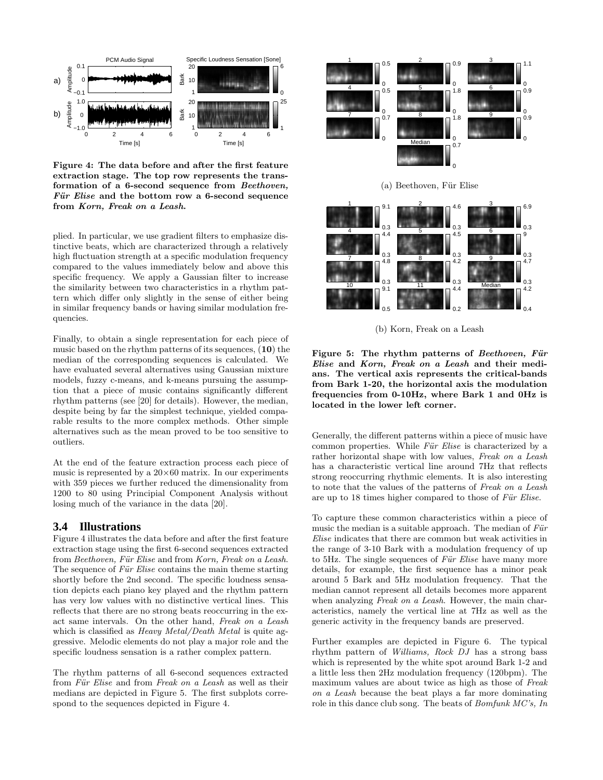

Figure 4: The data before and after the first feature extraction stage. The top row represents the transformation of a 6-second sequence from Beethoven, Für Elise and the bottom row a 6-second sequence from Korn, Freak on a Leash.

plied. In particular, we use gradient filters to emphasize distinctive beats, which are characterized through a relatively high fluctuation strength at a specific modulation frequency compared to the values immediately below and above this specific frequency. We apply a Gaussian filter to increase the similarity between two characteristics in a rhythm pattern which differ only slightly in the sense of either being in similar frequency bands or having similar modulation frequencies.

Finally, to obtain a single representation for each piece of music based on the rhythm patterns of its sequences, (10) the median of the corresponding sequences is calculated. We have evaluated several alternatives using Gaussian mixture models, fuzzy c-means, and k-means pursuing the assumption that a piece of music contains significantly different rhythm patterns (see [20] for details). However, the median, despite being by far the simplest technique, yielded comparable results to the more complex methods. Other simple alternatives such as the mean proved to be too sensitive to outliers.

At the end of the feature extraction process each piece of music is represented by a  $20\times60$  matrix. In our experiments with 359 pieces we further reduced the dimensionality from 1200 to 80 using Principial Component Analysis without losing much of the variance in the data [20].

#### **3.4 Illustrations**

Figure 4 illustrates the data before and after the first feature extraction stage using the first 6-second sequences extracted from Beethoven, Für Elise and from Korn, Freak on a Leash. The sequence of  $F\ddot{u}r$  Elise contains the main theme starting shortly before the 2nd second. The specific loudness sensation depicts each piano key played and the rhythm pattern has very low values with no distinctive vertical lines. This reflects that there are no strong beats reoccurring in the exact same intervals. On the other hand, Freak on a Leash which is classified as *Heavy Metal/Death Metal* is quite aggressive. Melodic elements do not play a major role and the specific loudness sensation is a rather complex pattern.

The rhythm patterns of all 6-second sequences extracted from Für Elise and from Freak on a Leash as well as their medians are depicted in Figure 5. The first subplots correspond to the sequences depicted in Figure 4.



(b) Korn, Freak on a Leash

Figure 5: The rhythm patterns of Beethoven, Für Elise and Korn, Freak on a Leash and their medians. The vertical axis represents the critical-bands from Bark 1-20, the horizontal axis the modulation frequencies from 0-10Hz, where Bark 1 and 0Hz is located in the lower left corner.

Generally, the different patterns within a piece of music have common properties. While Für Elise is characterized by a rather horizontal shape with low values, Freak on a Leash has a characteristic vertical line around 7Hz that reflects strong reoccurring rhythmic elements. It is also interesting to note that the values of the patterns of Freak on a Leash are up to 18 times higher compared to those of Für Elise.

To capture these common characteristics within a piece of music the median is a suitable approach. The median of  $F\ddot{u}r$ Elise indicates that there are common but weak activities in the range of 3-10 Bark with a modulation frequency of up to 5Hz. The single sequences of  $F\ddot{u}r$  Elise have many more details, for example, the first sequence has a minor peak around 5 Bark and 5Hz modulation frequency. That the median cannot represent all details becomes more apparent when analyzing *Freak on a Leash*. However, the main characteristics, namely the vertical line at 7Hz as well as the generic activity in the frequency bands are preserved.

Further examples are depicted in Figure 6. The typical rhythm pattern of Williams, Rock DJ has a strong bass which is represented by the white spot around Bark 1-2 and a little less then 2Hz modulation frequency (120bpm). The maximum values are about twice as high as those of Freak on a Leash because the beat plays a far more dominating role in this dance club song. The beats of Bomfunk MC's, In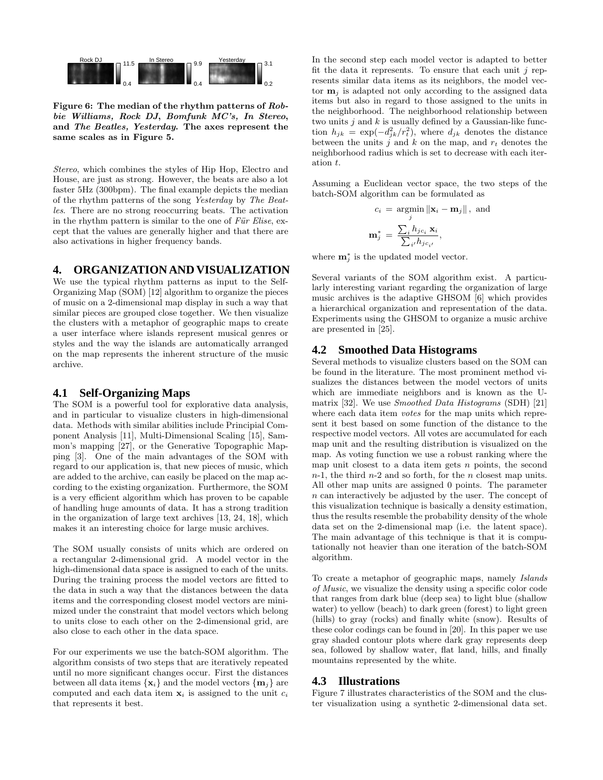

Figure 6: The median of the rhythm patterns of Robbie Williams, Rock DJ, Bomfunk MC's, In Stereo, and The Beatles, Yesterday. The axes represent the same scales as in Figure 5.

Stereo, which combines the styles of Hip Hop, Electro and House, are just as strong. However, the beats are also a lot faster 5Hz (300bpm). The final example depicts the median of the rhythm patterns of the song Yesterday by The Beatles. There are no strong reoccurring beats. The activation in the rhythm pattern is similar to the one of  $F\ddot{u}r$  Elise, except that the values are generally higher and that there are also activations in higher frequency bands.

## **4. ORGANIZATION AND VISUALIZATION**

We use the typical rhythm patterns as input to the Self-Organizing Map (SOM) [12] algorithm to organize the pieces of music on a 2-dimensional map display in such a way that similar pieces are grouped close together. We then visualize the clusters with a metaphor of geographic maps to create a user interface where islands represent musical genres or styles and the way the islands are automatically arranged on the map represents the inherent structure of the music archive.

#### **4.1 Self-Organizing Maps**

The SOM is a powerful tool for explorative data analysis, and in particular to visualize clusters in high-dimensional data. Methods with similar abilities include Principial Component Analysis [11], Multi-Dimensional Scaling [15], Sammon's mapping [27], or the Generative Topographic Mapping [3]. One of the main advantages of the SOM with regard to our application is, that new pieces of music, which are added to the archive, can easily be placed on the map according to the existing organization. Furthermore, the SOM is a very efficient algorithm which has proven to be capable of handling huge amounts of data. It has a strong tradition in the organization of large text archives [13, 24, 18], which makes it an interesting choice for large music archives.

The SOM usually consists of units which are ordered on a rectangular 2-dimensional grid. A model vector in the high-dimensional data space is assigned to each of the units. During the training process the model vectors are fitted to the data in such a way that the distances between the data items and the corresponding closest model vectors are minimized under the constraint that model vectors which belong to units close to each other on the 2-dimensional grid, are also close to each other in the data space.

For our experiments we use the batch-SOM algorithm. The algorithm consists of two steps that are iteratively repeated until no more significant changes occur. First the distances between all data items  $\{x_i\}$  and the model vectors  $\{m_j\}$  are computed and each data item  $x_i$  is assigned to the unit  $c_i$ that represents it best.

In the second step each model vector is adapted to better fit the data it represents. To ensure that each unit  $j$  represents similar data items as its neighbors, the model vector  $\mathbf{m}_i$  is adapted not only according to the assigned data items but also in regard to those assigned to the units in the neighborhood. The neighborhood relationship between two units  $j$  and  $k$  is usually defined by a Gaussian-like function  $h_{jk} = \exp(-d_{jk}^2/r_t^2)$ , where  $d_{jk}$  denotes the distance between the units j and k on the map, and  $r_t$  denotes the neighborhood radius which is set to decrease with each iteration t.

Assuming a Euclidean vector space, the two steps of the batch-SOM algorithm can be formulated as

$$
c_i = \underset{j}{\text{argmin}} \|\mathbf{x}_i - \mathbf{m}_j\|, \text{ and}
$$

$$
\mathbf{m}_j^* = \frac{\sum_i h_{jc_i} \mathbf{x}_i}{\sum_{i'} h_{jc_{i'}}},
$$

where  $\mathbf{m}_j^*$  is the updated model vector.

Several variants of the SOM algorithm exist. A particularly interesting variant regarding the organization of large music archives is the adaptive GHSOM [6] which provides a hierarchical organization and representation of the data. Experiments using the GHSOM to organize a music archive are presented in [25].

#### **4.2 Smoothed Data Histograms**

Several methods to visualize clusters based on the SOM can be found in the literature. The most prominent method visualizes the distances between the model vectors of units which are immediate neighbors and is known as the Umatrix [32]. We use Smoothed Data Histograms (SDH) [21] where each data item *votes* for the map units which represent it best based on some function of the distance to the respective model vectors. All votes are accumulated for each map unit and the resulting distribution is visualized on the map. As voting function we use a robust ranking where the map unit closest to a data item gets  $n$  points, the second  $n-1$ , the third  $n-2$  and so forth, for the n closest map units. All other map units are assigned 0 points. The parameter n can interactively be adjusted by the user. The concept of this visualization technique is basically a density estimation, thus the results resemble the probability density of the whole data set on the 2-dimensional map (i.e. the latent space). The main advantage of this technique is that it is computationally not heavier than one iteration of the batch-SOM algorithm.

To create a metaphor of geographic maps, namely Islands of Music, we visualize the density using a specific color code that ranges from dark blue (deep sea) to light blue (shallow water) to yellow (beach) to dark green (forest) to light green (hills) to gray (rocks) and finally white (snow). Results of these color codings can be found in [20]. In this paper we use gray shaded contour plots where dark gray represents deep sea, followed by shallow water, flat land, hills, and finally mountains represented by the white.

#### **4.3 Illustrations**

Figure 7 illustrates characteristics of the SOM and the cluster visualization using a synthetic 2-dimensional data set.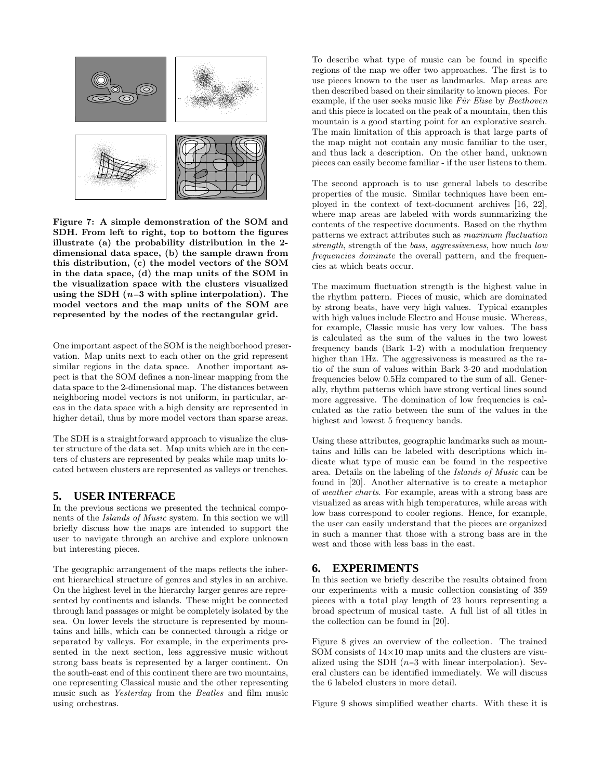

Figure 7: A simple demonstration of the SOM and SDH. From left to right, top to bottom the figures illustrate (a) the probability distribution in the 2 dimensional data space, (b) the sample drawn from this distribution, (c) the model vectors of the SOM in the data space, (d) the map units of the SOM in the visualization space with the clusters visualized using the SDH  $(n=3$  with spline interpolation). The model vectors and the map units of the SOM are represented by the nodes of the rectangular grid.

One important aspect of the SOM is the neighborhood preservation. Map units next to each other on the grid represent similar regions in the data space. Another important aspect is that the SOM defines a non-linear mapping from the data space to the 2-dimensional map. The distances between neighboring model vectors is not uniform, in particular, areas in the data space with a high density are represented in higher detail, thus by more model vectors than sparse areas.

The SDH is a straightforward approach to visualize the cluster structure of the data set. Map units which are in the centers of clusters are represented by peaks while map units located between clusters are represented as valleys or trenches.

#### **5. USER INTERFACE**

In the previous sections we presented the technical components of the Islands of Music system. In this section we will briefly discuss how the maps are intended to support the user to navigate through an archive and explore unknown but interesting pieces.

The geographic arrangement of the maps reflects the inherent hierarchical structure of genres and styles in an archive. On the highest level in the hierarchy larger genres are represented by continents and islands. These might be connected through land passages or might be completely isolated by the sea. On lower levels the structure is represented by mountains and hills, which can be connected through a ridge or separated by valleys. For example, in the experiments presented in the next section, less aggressive music without strong bass beats is represented by a larger continent. On the south-east end of this continent there are two mountains, one representing Classical music and the other representing music such as Yesterday from the Beatles and film music using orchestras.

To describe what type of music can be found in specific regions of the map we offer two approaches. The first is to use pieces known to the user as landmarks. Map areas are then described based on their similarity to known pieces. For example, if the user seeks music like Für Elise by Beethoven and this piece is located on the peak of a mountain, then this mountain is a good starting point for an explorative search. The main limitation of this approach is that large parts of the map might not contain any music familiar to the user, and thus lack a description. On the other hand, unknown pieces can easily become familiar - if the user listens to them.

The second approach is to use general labels to describe properties of the music. Similar techniques have been employed in the context of text-document archives [16, 22], where map areas are labeled with words summarizing the contents of the respective documents. Based on the rhythm patterns we extract attributes such as maximum fluctuation strength, strength of the bass, aggressiveness, how much low frequencies dominate the overall pattern, and the frequencies at which beats occur.

The maximum fluctuation strength is the highest value in the rhythm pattern. Pieces of music, which are dominated by strong beats, have very high values. Typical examples with high values include Electro and House music. Whereas, for example, Classic music has very low values. The bass is calculated as the sum of the values in the two lowest frequency bands (Bark 1-2) with a modulation frequency higher than 1Hz. The aggressiveness is measured as the ratio of the sum of values within Bark 3-20 and modulation frequencies below 0.5Hz compared to the sum of all. Generally, rhythm patterns which have strong vertical lines sound more aggressive. The domination of low frequencies is calculated as the ratio between the sum of the values in the highest and lowest 5 frequency bands.

Using these attributes, geographic landmarks such as mountains and hills can be labeled with descriptions which indicate what type of music can be found in the respective area. Details on the labeling of the Islands of Music can be found in [20]. Another alternative is to create a metaphor of weather charts. For example, areas with a strong bass are visualized as areas with high temperatures, while areas with low bass correspond to cooler regions. Hence, for example, the user can easily understand that the pieces are organized in such a manner that those with a strong bass are in the west and those with less bass in the east.

## **6. EXPERIMENTS**

In this section we briefly describe the results obtained from our experiments with a music collection consisting of 359 pieces with a total play length of 23 hours representing a broad spectrum of musical taste. A full list of all titles in the collection can be found in [20].

Figure 8 gives an overview of the collection. The trained SOM consists of  $14\times10$  map units and the clusters are visualized using the SDH  $(n=3$  with linear interpolation). Several clusters can be identified immediately. We will discuss the 6 labeled clusters in more detail.

Figure 9 shows simplified weather charts. With these it is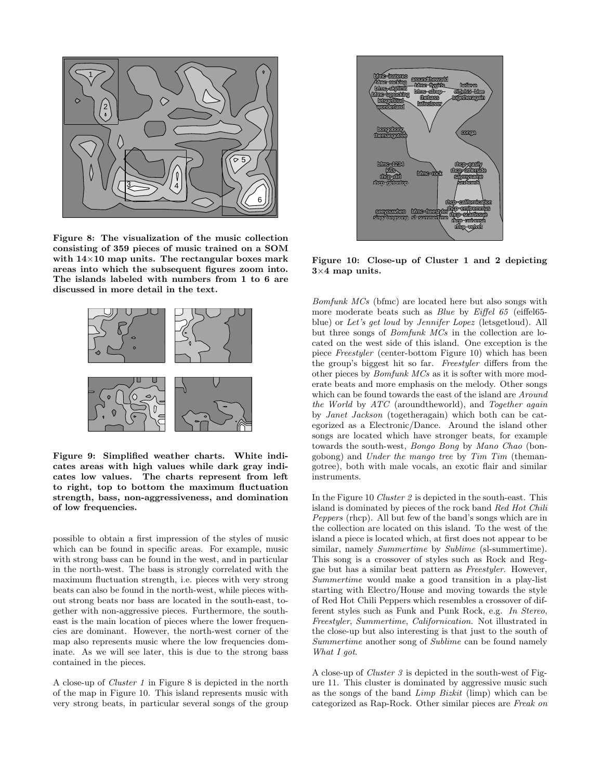

Figure 8: The visualization of the music collection consisting of 359 pieces of music trained on a SOM with  $14\times10$  map units. The rectangular boxes mark areas into which the subsequent figures zoom into. The islands labeled with numbers from 1 to 6 are discussed in more detail in the text.



Figure 9: Simplified weather charts. White indicates areas with high values while dark gray indicates low values. The charts represent from left to right, top to bottom the maximum fluctuation strength, bass, non-aggressiveness, and domination of low frequencies.

possible to obtain a first impression of the styles of music which can be found in specific areas. For example, music with strong bass can be found in the west, and in particular in the north-west. The bass is strongly correlated with the maximum fluctuation strength, i.e. pieces with very strong beats can also be found in the north-west, while pieces without strong beats nor bass are located in the south-east, together with non-aggressive pieces. Furthermore, the southeast is the main location of pieces where the lower frequencies are dominant. However, the north-west corner of the map also represents music where the low frequencies dominate. As we will see later, this is due to the strong bass contained in the pieces.

A close-up of Cluster 1 in Figure 8 is depicted in the north of the map in Figure 10. This island represents music with very strong beats, in particular several songs of the group



Figure 10: Close-up of Cluster 1 and 2 depicting  $3\times4$  map units.

Bomfunk MCs (bfmc) are located here but also songs with more moderate beats such as *Blue* by *Eiffel 65* (eiffel65blue) or Let's get loud by Jennifer Lopez (letsgetloud). All but three songs of Bomfunk MCs in the collection are located on the west side of this island. One exception is the piece Freestyler (center-bottom Figure 10) which has been the group's biggest hit so far. Freestyler differs from the other pieces by Bomfunk MCs as it is softer with more moderate beats and more emphasis on the melody. Other songs which can be found towards the east of the island are Around the World by ATC (aroundtheworld), and Together again by Janet Jackson (togetheragain) which both can be categorized as a Electronic/Dance. Around the island other songs are located which have stronger beats, for example towards the south-west, Bongo Bong by Mano Chao (bongobong) and Under the mango tree by Tim Tim (themangotree), both with male vocals, an exotic flair and similar instruments.

In the Figure 10 *Cluster 2* is depicted in the south-east. This island is dominated by pieces of the rock band Red Hot Chili Peppers (rhcp). All but few of the band's songs which are in the collection are located on this island. To the west of the island a piece is located which, at first does not appear to be similar, namely *Summertime* by *Sublime* (sl-summertime). This song is a crossover of styles such as Rock and Reggae but has a similar beat pattern as Freestyler. However, Summertime would make a good transition in a play-list starting with Electro/House and moving towards the style of Red Hot Chili Peppers which resembles a crossover of different styles such as Funk and Punk Rock, e.g. In Stereo, Freestyler, Summertime, Californication. Not illustrated in the close-up but also interesting is that just to the south of Summertime another song of Sublime can be found namely What I got.

A close-up of Cluster 3 is depicted in the south-west of Figure 11. This cluster is dominated by aggressive music such as the songs of the band Limp Bizkit (limp) which can be categorized as Rap-Rock. Other similar pieces are Freak on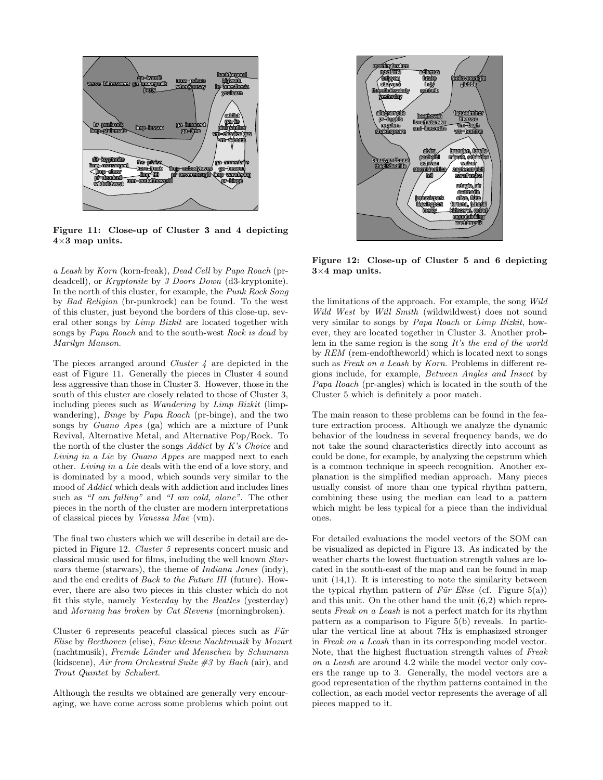

Figure 11: Close-up of Cluster 3 and 4 depicting  $4\times3$  map units.

a Leash by Korn (korn-freak), Dead Cell by Papa Roach (prdeadcell), or Kryptonite by 3 Doors Down (d3-kryptonite). In the north of this cluster, for example, the Punk Rock Song by Bad Religion (br-punkrock) can be found. To the west of this cluster, just beyond the borders of this close-up, several other songs by Limp Bizkit are located together with songs by Papa Roach and to the south-west Rock is dead by Marilyn Manson.

The pieces arranged around *Cluster*  $\ddot{4}$  are depicted in the east of Figure 11. Generally the pieces in Cluster 4 sound less aggressive than those in Cluster 3. However, those in the south of this cluster are closely related to those of Cluster 3, including pieces such as Wandering by Limp Bizkit (limpwandering), Binge by Papa Roach (pr-binge), and the two songs by Guano Apes (ga) which are a mixture of Punk Revival, Alternative Metal, and Alternative Pop/Rock. To the north of the cluster the songs Addict by K's Choice and Living in a Lie by Guano Appes are mapped next to each other. Living in a Lie deals with the end of a love story, and is dominated by a mood, which sounds very similar to the mood of Addict which deals with addiction and includes lines such as "I am falling" and "I am cold, alone". The other pieces in the north of the cluster are modern interpretations of classical pieces by Vanessa Mae (vm).

The final two clusters which we will describe in detail are depicted in Figure 12. Cluster 5 represents concert music and classical music used for films, including the well known Starwars theme (starwars), the theme of *Indiana Jones* (indy), and the end credits of Back to the Future III (future). However, there are also two pieces in this cluster which do not fit this style, namely Yesterday by the Beatles (yesterday) and Morning has broken by Cat Stevens (morningbroken).

Cluster 6 represents peaceful classical pieces such as  $F\ddot{u}r$ Elise by Beethoven (elise), Eine kleine Nachtmusik by Mozart (nachtmusik), Fremde Länder und Menschen by Schumann (kidscene), Air from Orchestral Suite  $\#3$  by Bach (air), and Trout Quintet by Schubert.

Although the results we obtained are generally very encouraging, we have come across some problems which point out



Figure 12: Close-up of Cluster 5 and 6 depicting  $3\times4$  map units.

the limitations of the approach. For example, the song Wild Wild West by Will Smith (wildwildwest) does not sound very similar to songs by Papa Roach or Limp Bizkit, however, they are located together in Cluster 3. Another problem in the same region is the song It's the end of the world by REM (rem-endoftheworld) which is located next to songs such as Freak on a Leash by Korn. Problems in different regions include, for example, Between Angles and Insect by Papa Roach (pr-angles) which is located in the south of the Cluster 5 which is definitely a poor match.

The main reason to these problems can be found in the feature extraction process. Although we analyze the dynamic behavior of the loudness in several frequency bands, we do not take the sound characteristics directly into account as could be done, for example, by analyzing the cepstrum which is a common technique in speech recognition. Another explanation is the simplified median approach. Many pieces usually consist of more than one typical rhythm pattern, combining these using the median can lead to a pattern which might be less typical for a piece than the individual ones.

For detailed evaluations the model vectors of the SOM can be visualized as depicted in Figure 13. As indicated by the weather charts the lowest fluctuation strength values are located in the south-east of the map and can be found in map unit  $(14,1)$ . It is interesting to note the similarity between the typical rhythm pattern of Für Elise (cf. Figure  $5(a)$ ) and this unit. On the other hand the unit (6,2) which represents Freak on a Leash is not a perfect match for its rhythm pattern as a comparison to Figure 5(b) reveals. In particular the vertical line at about 7Hz is emphasized stronger in Freak on a Leash than in its corresponding model vector. Note, that the highest fluctuation strength values of Freak on a Leash are around 4.2 while the model vector only covers the range up to 3. Generally, the model vectors are a good representation of the rhythm patterns contained in the collection, as each model vector represents the average of all pieces mapped to it.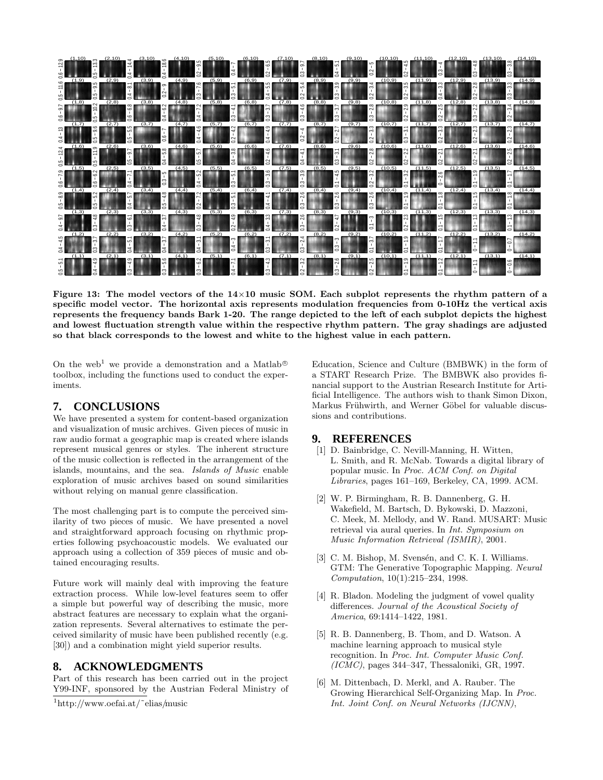

Figure 13: The model vectors of the  $14\times10$  music SOM. Each subplot represents the rhythm pattern of a specific model vector. The horizontal axis represents modulation frequencies from 0-10Hz the vertical axis represents the frequency bands Bark 1-20. The range depicted to the left of each subplot depicts the highest and lowest fluctuation strength value within the respective rhythm pattern. The gray shadings are adjusted so that black corresponds to the lowest and white to the highest value in each pattern.

On the web<sup>1</sup> we provide a demonstration and a Matlab<sup>®</sup> toolbox, including the functions used to conduct the experiments.

# **7. CONCLUSIONS**

We have presented a system for content-based organization and visualization of music archives. Given pieces of music in raw audio format a geographic map is created where islands represent musical genres or styles. The inherent structure of the music collection is reflected in the arrangement of the islands, mountains, and the sea. Islands of Music enable exploration of music archives based on sound similarities without relying on manual genre classification.

The most challenging part is to compute the perceived similarity of two pieces of music. We have presented a novel and straightforward approach focusing on rhythmic properties following psychoacoustic models. We evaluated our approach using a collection of 359 pieces of music and obtained encouraging results.

Future work will mainly deal with improving the feature extraction process. While low-level features seem to offer a simple but powerful way of describing the music, more abstract features are necessary to explain what the organization represents. Several alternatives to estimate the perceived similarity of music have been published recently (e.g. [30]) and a combination might yield superior results.

# **8. ACKNOWLEDGMENTS**

Part of this research has been carried out in the project Y99-INF, sponsored by the Austrian Federal Ministry of Education, Science and Culture (BMBWK) in the form of a START Research Prize. The BMBWK also provides financial support to the Austrian Research Institute for Artificial Intelligence. The authors wish to thank Simon Dixon, Markus Frühwirth, and Werner Göbel for valuable discussions and contributions.

# **9. REFERENCES**

- [1] D. Bainbridge, C. Nevill-Manning, H. Witten, L. Smith, and R. McNab. Towards a digital library of popular music. In Proc. ACM Conf. on Digital Libraries, pages 161–169, Berkeley, CA, 1999. ACM.
- [2] W. P. Birmingham, R. B. Dannenberg, G. H. Wakefield, M. Bartsch, D. Bykowski, D. Mazzoni, C. Meek, M. Mellody, and W. Rand. MUSART: Music retrieval via aural queries. In Int. Symposium on Music Information Retrieval (ISMIR), 2001.
- [3] C. M. Bishop, M. Svensén, and C. K. I. Williams. GTM: The Generative Topographic Mapping. Neural Computation, 10(1):215–234, 1998.
- [4] R. Bladon. Modeling the judgment of vowel quality differences. Journal of the Acoustical Society of America, 69:1414–1422, 1981.
- [5] R. B. Dannenberg, B. Thom, and D. Watson. A machine learning approach to musical style recognition. In Proc. Int. Computer Music Conf. (ICMC), pages 344–347, Thessaloniki, GR, 1997.
- [6] M. Dittenbach, D. Merkl, and A. Rauber. The Growing Hierarchical Self-Organizing Map. In Proc. Int. Joint Conf. on Neural Networks (IJCNN),

<sup>1</sup>http://www.oefai.at/˜elias/music